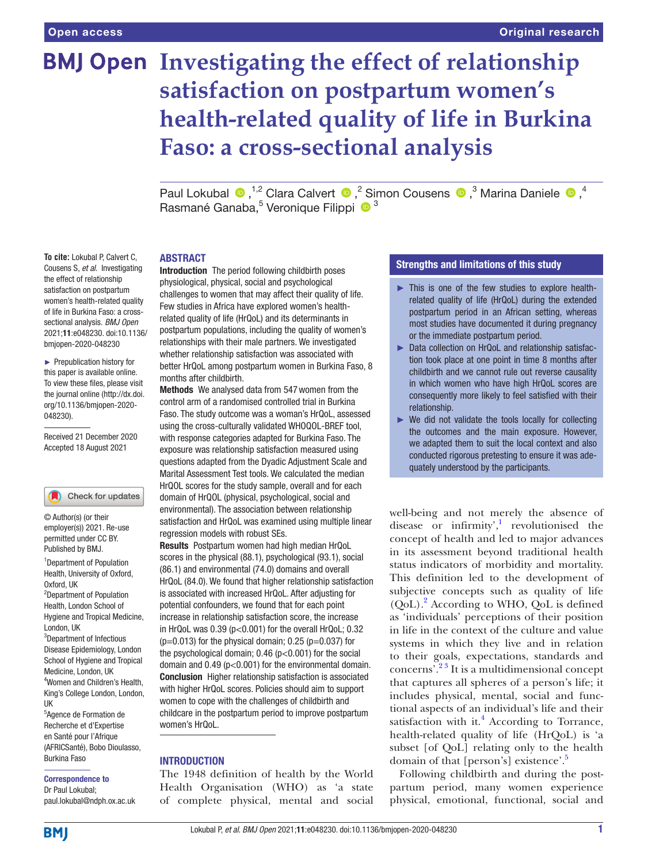# **BMJ Open Investigating the effect of relationship satisfaction on postpartum women's health-related quality of life in Burkina Faso: a cross-sectional analysis**

PaulLokubal  $\bullet$ , <sup>1,2</sup> Clara Calvert  $\bullet$ , <sup>2</sup> Simon Cousens  $\bullet$ , <sup>3</sup> Marina Daniele  $\bullet$ , <sup>4</sup> Rasmané Ganaba,<sup>5</sup> Veronique Filippi <sup>® 3</sup>

## ABSTRACT

**To cite:** Lokubal P, Calvert C, Cousens S, *et al*. Investigating the effect of relationship satisfaction on postpartum women's health-related quality of life in Burkina Faso: a crosssectional analysis. *BMJ Open* 2021;11:e048230. doi:10.1136/ bmjopen-2020-048230

► Prepublication history for this paper is available online. To view these files, please visit the journal online [\(http://dx.doi.](http://dx.doi.org/10.1136/bmjopen-2020-048230) [org/10.1136/bmjopen-2020-](http://dx.doi.org/10.1136/bmjopen-2020-048230) [048230\)](http://dx.doi.org/10.1136/bmjopen-2020-048230).

Received 21 December 2020 Accepted 18 August 2021

## Check for updates

© Author(s) (or their employer(s)) 2021. Re-use permitted under CC BY. Published by BMJ.

<sup>1</sup> Department of Population Health, University of Oxford, Oxford, UK <sup>2</sup>Department of Population

Health, London School of Hygiene and Tropical Medicine, London, UK

3 Department of Infectious Disease Epidemiology, London School of Hygiene and Tropical Medicine, London, UK 4 Women and Children's Health, King's College London, London, UK

5 Agence de Formation de Recherche et d'Expertise en Santé pour l'Afrique (AFRICSanté), Bobo Dioulasso, Burkina Faso

Correspondence to

Dr Paul Lokubal; paul.lokubal@ndph.ox.ac.uk Introduction The period following childbirth poses physiological, physical, social and psychological challenges to women that may affect their quality of life. Few studies in Africa have explored women's healthrelated quality of life (HrQoL) and its determinants in postpartum populations, including the quality of women's relationships with their male partners. We investigated whether relationship satisfaction was associated with better HrQoL among postpartum women in Burkina Faso, 8 months after childbirth.

Methods We analysed data from 547 women from the control arm of a randomised controlled trial in Burkina Faso. The study outcome was a woman's HrQoL, assessed using the cross-culturally validated WHOQOL-BREF tool, with response categories adapted for Burkina Faso. The exposure was relationship satisfaction measured using questions adapted from the Dyadic Adjustment Scale and Marital Assessment Test tools. We calculated the median HrQOL scores for the study sample, overall and for each domain of HrQOL (physical, psychological, social and environmental). The association between relationship satisfaction and HrQoL was examined using multiple linear regression models with robust SEs.

Results Postpartum women had high median HrQoL scores in the physical (88.1), psychological (93.1), social (86.1) and environmental (74.0) domains and overall HrQoL (84.0). We found that higher relationship satisfaction is associated with increased HrQoL. After adjusting for potential confounders, we found that for each point increase in relationship satisfaction score, the increase in HrQoL was 0.39 (p<0.001) for the overall HrQoL; 0.32  $(p=0.013)$  for the physical domain; 0.25 ( $p=0.037$ ) for the psychological domain; 0.46 (p<0.001) for the social domain and 0.49 (p<0.001) for the environmental domain. Conclusion Higher relationship satisfaction is associated with higher HrQoL scores. Policies should aim to support women to cope with the challenges of childbirth and childcare in the postpartum period to improve postpartum women's HrQoL.

# **INTRODUCTION**

The 1948 definition of health by the World Health Organisation (WHO) as 'a state of complete physical, mental and social

# Strengths and limitations of this study

- ► This is one of the few studies to explore healthrelated quality of life (HrQoL) during the extended postpartum period in an African setting, whereas most studies have documented it during pregnancy or the immediate postpartum period.
- ► Data collection on HrQoL and relationship satisfaction took place at one point in time 8 months after childbirth and we cannot rule out reverse causality in which women who have high HrQoL scores are consequently more likely to feel satisfied with their relationship.
- ► We did not validate the tools locally for collecting the outcomes and the main exposure. However, we adapted them to suit the local context and also conducted rigorous pretesting to ensure it was adequately understood by the participants.

well-being and not merely the absence of disease or infirmity', $\frac{1}{1}$  revolutionised the concept of health and led to major advances in its assessment beyond traditional health status indicators of morbidity and mortality. This definition led to the development of subjective concepts such as quality of life  $(QoL)$ .<sup>[2](#page-6-1)</sup> According to WHO,  $QoL$  is defined as 'individuals' perceptions of their position in life in the context of the culture and value systems in which they live and in relation to their goals, expectations, standards and concerns'.[2 3](#page-6-1) It is a multidimensional concept that captures all spheres of a person's life; it includes physical, mental, social and functional aspects of an individual's life and their satisfaction with it.<sup>4</sup> According to Torrance, health-related quality of life (HrQoL) is 'a subset [of QoL] relating only to the health domain of that [person's] existence'.<sup>[5](#page-6-3)</sup>

Following childbirth and during the postpartum period, many women experience physical, emotional, functional, social and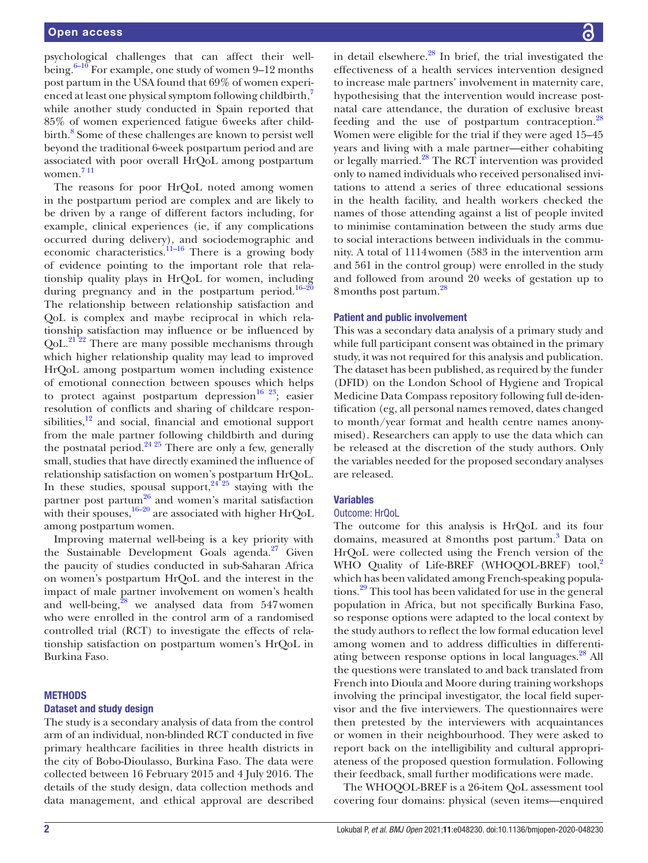psychological challenges that can affect their wellbeing. $6-10$  For example, one study of women 9–12 months post partum in the USA found that 69% of women experi-enced at least one physical symptom following childbirth,<sup>[7](#page-6-5)</sup> while another study conducted in Spain reported that 85% of women experienced fatigue 6weeks after child-birth.<sup>[8](#page-6-6)</sup> Some of these challenges are known to persist well beyond the traditional 6-week postpartum period and are associated with poor overall HrQoL among postpartum women. [7 11](#page-6-5)

The reasons for poor HrQoL noted among women in the postpartum period are complex and are likely to be driven by a range of different factors including, for example, clinical experiences (ie, if any complications occurred during delivery), and sociodemographic and economic characteristics.<sup>11–16</sup> There is a growing body of evidence pointing to the important role that relationship quality plays in HrQoL for women, including during pregnancy and in the postpartum period.<sup>[16–20](#page-7-0)</sup> The relationship between relationship satisfaction and QoL is complex and maybe reciprocal in which relationship satisfaction may influence or be influenced by  $\text{QoL.}^{21\bar{2}2}$  There are many possible mechanisms through which higher relationship quality may lead to improved HrQoL among postpartum women including existence of emotional connection between spouses which helps to protect against postpartum depression<sup>16 23</sup>; easier resolution of conflicts and sharing of childcare responsibilities,<sup>12</sup> and social, financial and emotional support from the male partner following childbirth and during the postnatal period.<sup>24 25</sup> There are only a few, generally small, studies that have directly examined the influence of relationship satisfaction on women's postpartum HrQoL. In these studies, spousal support,  $24\frac{25}{125}$  staying with the partner post partum<sup>26</sup> and women's marital satisfaction with their spouses,  $16-20$  are associated with higher HrQoL among postpartum women.

Improving maternal well-being is a key priority with the Sustainable Development Goals agenda. $27$  Given the paucity of studies conducted in sub-Saharan Africa on women's postpartum HrQoL and the interest in the impact of male partner involvement on women's health and well-being, ${}^{28}$  ${}^{28}$  ${}^{28}$  we analysed data from 547 women who were enrolled in the control arm of a randomised controlled trial (RCT) to investigate the effects of relationship satisfaction on postpartum women's HrQoL in Burkina Faso.

#### **METHODS**

#### Dataset and study design

The study is a secondary analysis of data from the control arm of an individual, non-blinded RCT conducted in five primary healthcare facilities in three health districts in the city of Bobo-Dioulasso, Burkina Faso. The data were collected between 16 February 2015 and 4 July 2016. The details of the study design, data collection methods and data management, and ethical approval are described in detail elsewhere. $^{28}$  In brief, the trial investigated the effectiveness of a health services intervention designed to increase male partners' involvement in maternity care, hypothesising that the intervention would increase postnatal care attendance, the duration of exclusive breast feeding and the use of postpartum contraception.<sup>[28](#page-7-5)</sup> Women were eligible for the trial if they were aged 15–45 years and living with a male partner—either cohabiting or legally married.<sup>28</sup> The RCT intervention was provided only to named individuals who received personalised invitations to attend a series of three educational sessions in the health facility, and health workers checked the names of those attending against a list of people invited to minimise contamination between the study arms due to social interactions between individuals in the community. A total of 1114women (583 in the intervention arm and 561 in the control group) were enrolled in the study and followed from around 20 weeks of gestation up to 8 months post partum.<sup>[28](#page-7-5)</sup>

#### Patient and public involvement

This was a secondary data analysis of a primary study and while full participant consent was obtained in the primary study, it was not required for this analysis and publication. The dataset has been published, as required by the funder (DFID) on the London School of Hygiene and Tropical Medicine Data Compass repository following full de-identification (eg, all personal names removed, dates changed to month/year format and health centre names anonymised). Researchers can apply to use the data which can be released at the discretion of the study authors. Only the variables needed for the proposed secondary analyses are released.

#### Variables

## Outcome: HrQoL

The outcome for this analysis is HrQoL and its four domains, measured at 8 months post partum.<sup>3</sup> Data on HrQoL were collected using the French version of the WHO Quality of Life-BREF (WHOQOL-BREF) tool,<sup>[2](#page-6-1)</sup> which has been validated among French-speaking populations.[29](#page-7-6) This tool has been validated for use in the general population in Africa, but not specifically Burkina Faso, so response options were adapted to the local context by the study authors to reflect the low formal education level among women and to address difficulties in differentiating between response options in local languages.<sup>28</sup> All the questions were translated to and back translated from French into Dioula and Moore during training workshops involving the principal investigator, the local field supervisor and the five interviewers. The questionnaires were then pretested by the interviewers with acquaintances or women in their neighbourhood. They were asked to report back on the intelligibility and cultural appropriateness of the proposed question formulation. Following their feedback, small further modifications were made.

The [WHOQOL-BREF](https://www.who.int/mental_health/media/en/76.pdf) is a 26-item QoL assessment tool covering four domains: physical (seven items—enquired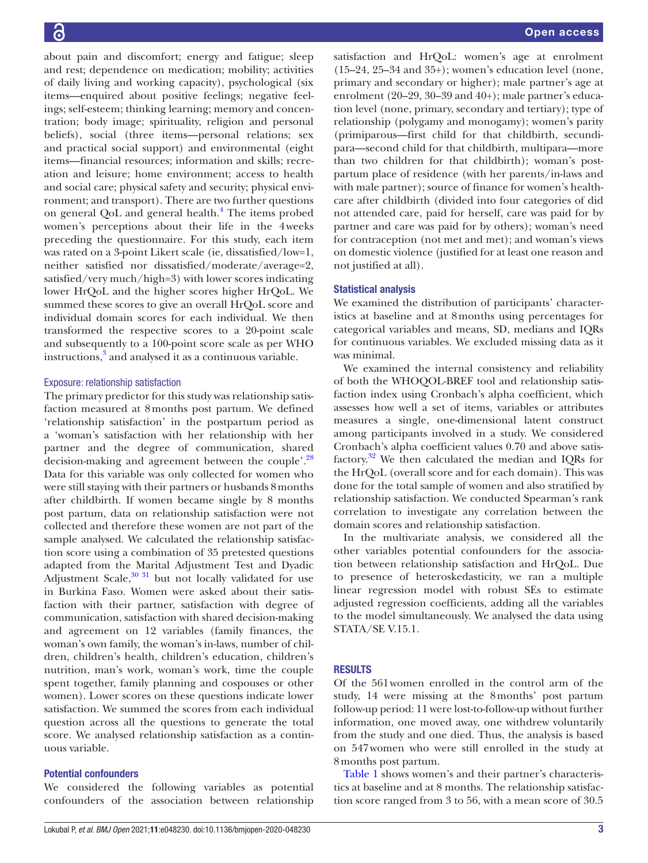about pain and discomfort; energy and fatigue; sleep and rest; dependence on medication; mobility; activities of daily living and working capacity), psychological (six items—enquired about positive feelings; negative feelings; self-esteem; thinking learning; memory and concentration; body image; spirituality, religion and personal beliefs), social (three items—personal relations; sex and practical social support) and environmental (eight items—financial resources; information and skills; recreation and leisure; home environment; access to health and social care; physical safety and security; physical environment; and transport). There are two further questions on general QoL and general health.<sup>[4](#page-6-2)</sup> The items probed women's perceptions about their life in the 4weeks preceding the questionnaire. For this study, each item was rated on a 3-point Likert scale (ie, dissatisfied/low=1, neither satisfied nor dissatisfied/moderate/average=2, satisfied/very much/high=3) with lower scores indicating lower HrQoL and the higher scores higher HrQoL. We summed these scores to give an overall HrQoL score and individual domain scores for each individual. We then transformed the respective scores to a 20-point scale and subsequently to a 100-point score scale as per WHO instructions,<sup>[3](#page-6-9)</sup> and analysed it as a continuous variable.

## Exposure: relationship satisfaction

The primary predictor for this study was relationship satisfaction measured at 8months post partum. We defined 'relationship satisfaction' in the postpartum period as a 'woman's satisfaction with her relationship with her partner and the degree of communication, shared decision-making and agreement between the couple'.<sup>28</sup> Data for this variable was only collected for women who were still staying with their partners or husbands 8months after childbirth. If women became single by 8 months post partum, data on relationship satisfaction were not collected and therefore these women are not part of the sample analysed. We calculated the relationship satisfaction score using a combination of 35 pretested questions adapted from the Marital Adjustment Test and Dyadic Adjustment Scale, $30\frac{31}{10}$  but not locally validated for use in Burkina Faso. Women were asked about their satisfaction with their partner, satisfaction with degree of communication, satisfaction with shared decision-making and agreement on 12 variables (family finances, the woman's own family, the woman's in-laws, number of children, children's health, children's education, children's nutrition, man's work, woman's work, time the couple spent together, family planning and cospouses or other women). Lower scores on these questions indicate lower satisfaction. We summed the scores from each individual question across all the questions to generate the total score. We analysed relationship satisfaction as a continuous variable.

# Potential confounders

We considered the following variables as potential confounders of the association between relationship

satisfaction and HrQoL: women's age at enrolment (15–24, 25–34 and 35+); women's education level (none, primary and secondary or higher); male partner's age at enrolment (20–29, 30–39 and 40+); male partner's education level (none, primary, secondary and tertiary); type of relationship (polygamy and monogamy); women's parity (primiparous—first child for that childbirth, secundipara—second child for that childbirth, multipara—more than two children for that childbirth); woman's postpartum place of residence (with her parents/in-laws and with male partner); source of finance for women's healthcare after childbirth (divided into four categories of did not attended care, paid for herself, care was paid for by partner and care was paid for by others); woman's need for contraception (not met and met); and woman's views on domestic violence (justified for at least one reason and not justified at all).

## Statistical analysis

We examined the distribution of participants' characteristics at baseline and at 8months using percentages for categorical variables and means, SD, medians and IQRs for continuous variables. We excluded missing data as it was minimal.

We examined the internal consistency and reliability of both the WHOQOL-BREF tool and relationship satisfaction index using Cronbach's alpha coefficient, which assesses how well a set of items, variables or attributes measures a single, one-dimensional latent construct among participants involved in a study. We considered Cronbach's alpha coefficient values 0.70 and above satisfactory. $32$  We then calculated the median and IQRs for the HrQoL (overall score and for each domain). This was done for the total sample of women and also stratified by relationship satisfaction. We conducted Spearman's rank correlation to investigate any correlation between the domain scores and relationship satisfaction.

In the multivariate analysis, we considered all the other variables potential confounders for the association between relationship satisfaction and HrQoL. Due to presence of heteroskedasticity, we ran a multiple linear regression model with robust SEs to estimate adjusted regression coefficients, adding all the variables to the model simultaneously. We analysed the data using STATA/SE V.15.1.

#### RESULTS

Of the 561women enrolled in the control arm of the study, 14 were missing at the 8months' post partum follow-up period: 11 were lost-to-follow-up without further information, one moved away, one withdrew voluntarily from the study and one died. Thus, the analysis is based on 547women who were still enrolled in the study at 8months post partum.

[Table](#page-3-0) 1 shows women's and their partner's characteristics at baseline and at 8 months. The relationship satisfaction score ranged from 3 to 56, with a mean score of 30.5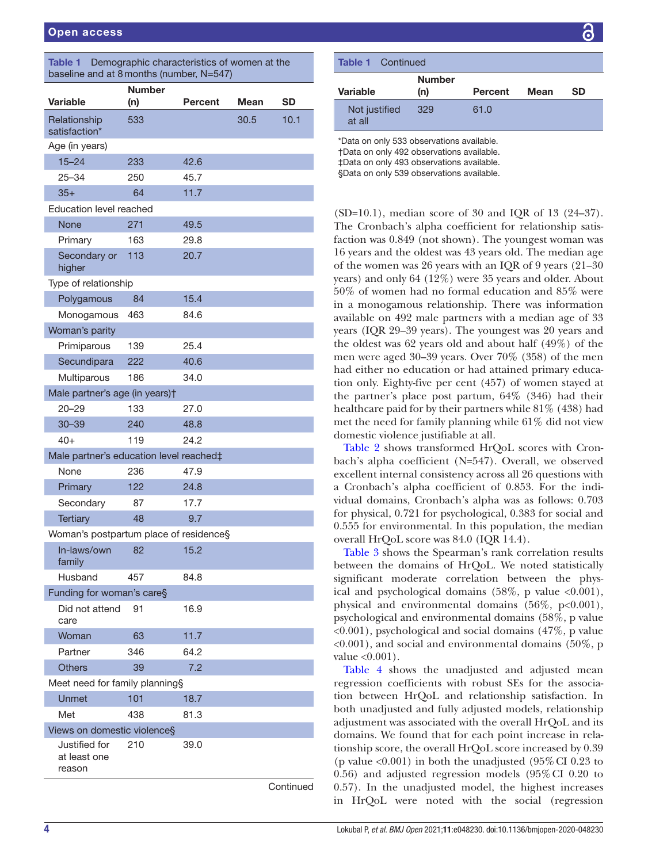<span id="page-3-0"></span>

| Demographic characteristics of women at the<br><b>Table 1</b><br>baseline and at 8 months (number, N=547) |                      |         |      |           |  |  |  |
|-----------------------------------------------------------------------------------------------------------|----------------------|---------|------|-----------|--|--|--|
| <b>Variable</b>                                                                                           | <b>Number</b><br>(n) | Percent | Mean | SD        |  |  |  |
| Relationship<br>satisfaction*                                                                             | 533                  |         | 30.5 | 10.1      |  |  |  |
| Age (in years)                                                                                            |                      |         |      |           |  |  |  |
| $15 - 24$                                                                                                 | 233                  | 42.6    |      |           |  |  |  |
| $25 - 34$                                                                                                 | 250                  | 45.7    |      |           |  |  |  |
| $35+$                                                                                                     | 64                   | 11.7    |      |           |  |  |  |
| Education level reached                                                                                   |                      |         |      |           |  |  |  |
| None                                                                                                      | 271                  | 49.5    |      |           |  |  |  |
| Primary                                                                                                   | 163                  | 29.8    |      |           |  |  |  |
| Secondary or<br>higher                                                                                    | 113                  | 20.7    |      |           |  |  |  |
| Type of relationship                                                                                      |                      |         |      |           |  |  |  |
| Polygamous                                                                                                | 84                   | 15.4    |      |           |  |  |  |
| Monogamous                                                                                                | 463                  | 84.6    |      |           |  |  |  |
| Woman's parity                                                                                            |                      |         |      |           |  |  |  |
| Primiparous                                                                                               | 139                  | 25.4    |      |           |  |  |  |
| Secundipara                                                                                               | 222                  | 40.6    |      |           |  |  |  |
| Multiparous                                                                                               | 186                  | 34.0    |      |           |  |  |  |
| Male partner's age (in years)t                                                                            |                      |         |      |           |  |  |  |
| $20 - 29$                                                                                                 | 133                  | 27.0    |      |           |  |  |  |
| $30 - 39$                                                                                                 | 240                  | 48.8    |      |           |  |  |  |
| $40+$                                                                                                     | 119                  | 24.2    |      |           |  |  |  |
| Male partner's education level reached‡                                                                   |                      |         |      |           |  |  |  |
| None                                                                                                      | 236                  | 47.9    |      |           |  |  |  |
| Primary                                                                                                   | 122                  | 24.8    |      |           |  |  |  |
| Secondary                                                                                                 | 87                   | 17.7    |      |           |  |  |  |
| <b>Tertiary</b>                                                                                           | 48                   | 9.7     |      |           |  |  |  |
| Woman's postpartum place of residence§                                                                    |                      |         |      |           |  |  |  |
| In-laws/own<br>family                                                                                     | 82                   | 15.2    |      |           |  |  |  |
| Husband                                                                                                   | 457                  | 84.8    |      |           |  |  |  |
| Funding for woman's care§                                                                                 |                      |         |      |           |  |  |  |
| Did not attend<br>care                                                                                    | 91                   | 16.9    |      |           |  |  |  |
| Woman                                                                                                     | 63                   | 11.7    |      |           |  |  |  |
| Partner                                                                                                   | 346                  | 64.2    |      |           |  |  |  |
| <b>Others</b>                                                                                             | 39                   | 7.2     |      |           |  |  |  |
| Meet need for family planning§                                                                            |                      |         |      |           |  |  |  |
| <b>Unmet</b>                                                                                              | 101                  | 18.7    |      |           |  |  |  |
| Met                                                                                                       | 438                  | 81.3    |      |           |  |  |  |
| Views on domestic violence§                                                                               |                      |         |      |           |  |  |  |
| Justified for<br>at least one<br>reason                                                                   | 210                  | 39.0    |      |           |  |  |  |
|                                                                                                           |                      |         |      | Continued |  |  |  |

| <b>Table 1</b> Continued                                                                                                                                                         |                      |                |      |    |  |
|----------------------------------------------------------------------------------------------------------------------------------------------------------------------------------|----------------------|----------------|------|----|--|
| Variable                                                                                                                                                                         | <b>Number</b><br>(n) | <b>Percent</b> | Mean | SD |  |
| Not justified<br>at all                                                                                                                                                          | 329                  | 61.0           |      |    |  |
| *Data on only 533 observations available.<br>†Data on only 492 observations available.<br>‡Data on only 493 observations available.<br>§Data on only 539 observations available. |                      |                |      |    |  |

(SD=10.1), median score of 30 and IQR of 13 (24–37). The Cronbach's alpha coefficient for relationship satisfaction was 0.849 (not shown). The youngest woman was 16 years and the oldest was 43 years old. The median age of the women was 26 years with an IQR of 9 years (21–30 years) and only 64 (12%) were 35 years and older. About 50% of women had no formal education and 85% were in a monogamous relationship. There was information available on 492 male partners with a median age of 33 years (IQR 29–39 years). The youngest was 20 years and the oldest was 62 years old and about half (49%) of the men were aged 30–39 years. Over 70% (358) of the men had either no education or had attained primary education only. Eighty-five per cent (457) of women stayed at the partner's place post partum, 64% (346) had their healthcare paid for by their partners while 81% (438) had met the need for family planning while 61% did not view domestic violence justifiable at all.

[Table](#page-4-0) 2 shows transformed HrQoL scores with Cronbach's alpha coefficient (N=547). Overall, we observed excellent internal consistency across all 26 questions with a Cronbach's alpha coefficient of 0.853. For the individual domains, Cronbach's alpha was as follows: 0.703 for physical, 0.721 for psychological, 0.383 for social and 0.555 for environmental. In this population, the median overall HrQoL score was 84.0 (IQR 14.4).

[Table](#page-4-1) 3 shows the Spearman's rank correlation results between the domains of HrQoL. We noted statistically significant moderate correlation between the physical and psychological domains  $(58\%, p \text{ value } <0.001)$ , physical and environmental domains (56%, p<0.001), psychological and environmental domains (58%, p value <0.001), psychological and social domains (47%, p value  $\langle 0.001 \rangle$ , and social and environmental domains (50%, p value  $<0.001$ ).

[Table](#page-5-0) 4 shows the unadjusted and adjusted mean regression coefficients with robust SEs for the association between HrQoL and relationship satisfaction. In both unadjusted and fully adjusted models, relationship adjustment was associated with the overall HrQoL and its domains. We found that for each point increase in relationship score, the overall HrQoL score increased by 0.39 (p value  $\langle 0.001 \rangle$ ) in both the unadjusted (95% CI 0.23 to 0.56) and adjusted regression models (95%CI 0.20 to 0.57). In the unadjusted model, the highest increases in HrQoL were noted with the social (regression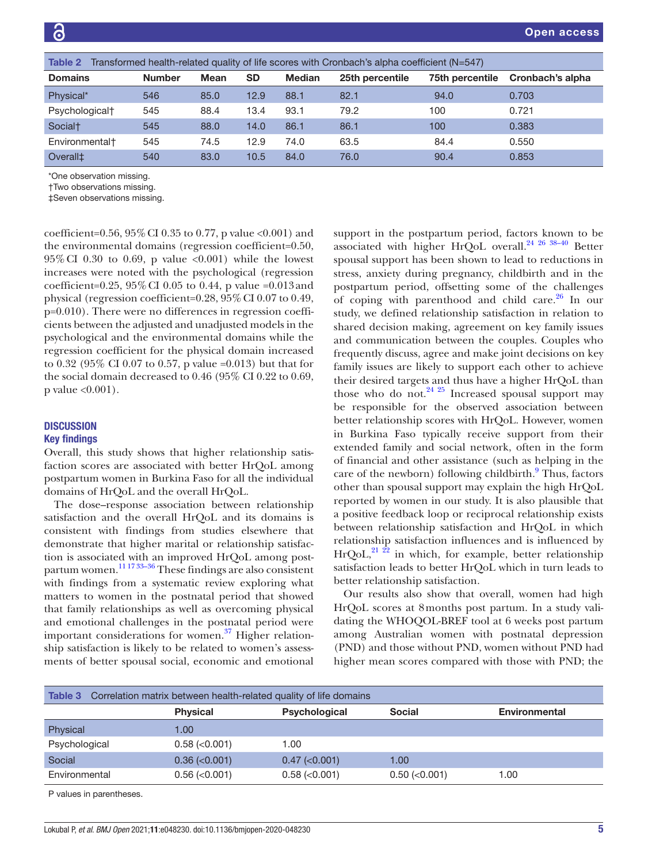<span id="page-4-0"></span>

| Transformed health-related quality of life scores with Cronbach's alpha coefficient (N=547)<br>Table 2 |               |             |           |               |                 |                 |                  |
|--------------------------------------------------------------------------------------------------------|---------------|-------------|-----------|---------------|-----------------|-----------------|------------------|
| <b>Domains</b>                                                                                         | <b>Number</b> | <b>Mean</b> | <b>SD</b> | <b>Median</b> | 25th percentile | 75th percentile | Cronbach's alpha |
| Physical*                                                                                              | 546           | 85.0        | 12.9      | 88.1          | 82.1            | 94.0            | 0.703            |
| Psychological <sup>+</sup>                                                                             | 545           | 88.4        | 13.4      | 93.1          | 79.2            | 100             | 0.721            |
| Social <sup>+</sup>                                                                                    | 545           | 88.0        | 14.0      | 86.1          | 86.1            | 100             | 0.383            |
| Environmental <sup>+</sup>                                                                             | 545           | 74.5        | 12.9      | 74.0          | 63.5            | 84.4            | 0.550            |
| Overall <sup>±</sup>                                                                                   | 540           | 83.0        | 10.5      | 84.0          | 76.0            | 90.4            | 0.853            |
| *One observation missing.<br><b>Two observations missing.</b><br>±Seven observations missing.          |               |             |           |               |                 |                 |                  |

coefficient=0.56,  $95\%$  CI 0.35 to 0.77, p value <0.001) and the environmental domains (regression coefficient=0.50,  $95\%$  CI 0.30 to 0.69, p value  $\langle 0.001 \rangle$  while the lowest increases were noted with the psychological (regression coefficient=0.25,  $95\%$  CI 0.05 to 0.44, p value =0.013 and physical (regression coefficient=0.28,  $95\%$  CI 0.07 to 0.49, p=0.010). There were no differences in regression coefficients between the adjusted and unadjusted models in the psychological and the environmental domains while the regression coefficient for the physical domain increased to 0.32 (95% CI 0.07 to 0.57, p value =0.013) but that for the social domain decreased to 0.46 (95% CI 0.22 to 0.69, p value <0.001).

#### **DISCUSSION**

## Key findings

Overall, this study shows that higher relationship satisfaction scores are associated with better HrQoL among postpartum women in Burkina Faso for all the individual domains of HrQoL and the overall HrQoL.

The dose–response association between relationship satisfaction and the overall HrQoL and its domains is consistent with findings from studies elsewhere that demonstrate that higher marital or relationship satisfaction is associated with an improved HrQoL among post-partum women.<sup>[11 17 33–36](#page-6-7)</sup> These findings are also consistent with findings from a systematic review exploring what matters to women in the postnatal period that showed that family relationships as well as overcoming physical and emotional challenges in the postnatal period were important considerations for women. $37$  Higher relationship satisfaction is likely to be related to women's assessments of better spousal social, economic and emotional

support in the postpartum period, factors known to be associated with higher HrQoL overall. $24$   $26$   $38-40$  Better spousal support has been shown to lead to reductions in stress, anxiety during pregnancy, childbirth and in the postpartum period, offsetting some of the challenges of coping with parenthood and child care. $26$  In our study, we defined relationship satisfaction in relation to shared decision making, agreement on key family issues and communication between the couples. Couples who frequently discuss, agree and make joint decisions on key family issues are likely to support each other to achieve their desired targets and thus have a higher HrQoL than those who do not.<sup>[24 25](#page-7-2)</sup> Increased spousal support may be responsible for the observed association between better relationship scores with HrQoL. However, women in Burkina Faso typically receive support from their extended family and social network, often in the form of financial and other assistance (such as helping in the care of the newborn) following childbirth.<sup>9</sup> Thus, factors other than spousal support may explain the high HrQoL reported by women in our study. It is also plausible that a positive feedback loop or reciprocal relationship exists between relationship satisfaction and HrQoL in which relationship satisfaction influences and is influenced by  $HrQoL$ ,<sup>21  $\overline{22}$ </sup> in which, for example, better relationship satisfaction leads to better HrQoL which in turn leads to better relationship satisfaction.

Our results also show that overall, women had high HrQoL scores at 8months post partum. In a study validating the WHOQOL-BREF tool at 6 weeks post partum among Australian women with postnatal depression (PND) and those without PND, women without PND had higher mean scores compared with those with PND; the

<span id="page-4-1"></span>

| Table 3<br>Correlation matrix between health-related quality of life domains |                     |                      |                     |               |  |
|------------------------------------------------------------------------------|---------------------|----------------------|---------------------|---------------|--|
|                                                                              | <b>Physical</b>     | <b>Psychological</b> | <b>Social</b>       | Environmental |  |
| Physical                                                                     | 1.00                |                      |                     |               |  |
| Psychological                                                                | $0.58$ ( $<$ 0.001) | 1.00                 |                     |               |  |
| Social                                                                       | $0.36$ ( $0.001$ )  | $0.47$ ( $<$ 0.001)  | 1.00                |               |  |
| Environmental                                                                | $0.56$ ( $<$ 0.001) | $0.58$ ( $<$ 0.001)  | $0.50$ ( $<$ 0.001) | 1.00          |  |
| P values in parentheses.                                                     |                     |                      |                     |               |  |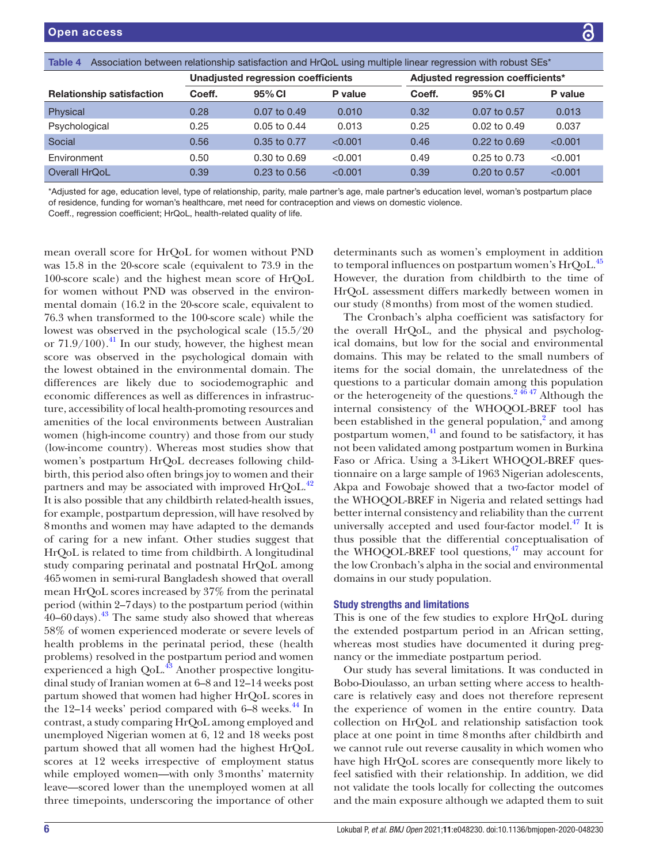<span id="page-5-0"></span>

| Association between relationship satisfaction and HrQoL using multiple linear regression with robust SEs*<br>Table 4 |                                    |                         |         |                                   |                         |         |  |
|----------------------------------------------------------------------------------------------------------------------|------------------------------------|-------------------------|---------|-----------------------------------|-------------------------|---------|--|
|                                                                                                                      | Unadjusted regression coefficients |                         |         | Adjusted regression coefficients* |                         |         |  |
| <b>Relationship satisfaction</b>                                                                                     | Coeff.                             | 95% CI                  | P value | Coeff.                            | 95% CI                  | P value |  |
| Physical                                                                                                             | 0.28                               | $0.07$ to $0.49$        | 0.010   | 0.32                              | 0.07 to 0.57            | 0.013   |  |
| Psychological                                                                                                        | 0.25                               | $0.05$ to $0.44$        | 0.013   | 0.25                              | $0.02$ to $0.49$        | 0.037   |  |
| Social                                                                                                               | 0.56                               | 0.35 to 0.77            | < 0.001 | 0.46                              | $0.22$ to $0.69$        | < 0.001 |  |
| Environment                                                                                                          | 0.50                               | $0.30 \text{ to } 0.69$ | < 0.001 | 0.49                              | $0.25$ to $0.73$        | < 0.001 |  |
| Overall HrQoL                                                                                                        | 0.39                               | $0.23$ to $0.56$        | < 0.001 | 0.39                              | $0.20 \text{ to } 0.57$ | < 0.001 |  |

\*Adjusted for age, education level, type of relationship, parity, male partner's age, male partner's education level, woman's postpartum place of residence, funding for woman's healthcare, met need for contraception and views on domestic violence.

Coeff., regression coefficient; HrQoL, health-related quality of life.

mean overall score for HrQoL for women without PND was 15.8 in the 20-score scale (equivalent to 73.9 in the 100-score scale) and the highest mean score of HrQoL for women without PND was observed in the environmental domain (16.2 in the 20-score scale, equivalent to 76.3 when transformed to the 100-score scale) while the lowest was observed in the psychological scale (15.5/20 or  $71.9/100$ .<sup>41</sup> In our study, however, the highest mean score was observed in the psychological domain with the lowest obtained in the environmental domain. The differences are likely due to sociodemographic and economic differences as well as differences in infrastructure, accessibility of local health-promoting resources and amenities of the local environments between Australian women (high-income country) and those from our study (low-income country). Whereas most studies show that women's postpartum HrQoL decreases following childbirth, this period also often brings joy to women and their partners and may be associated with improved HrQoL.<sup>42</sup> It is also possible that any childbirth related-health issues, for example, postpartum depression, will have resolved by 8months and women may have adapted to the demands of caring for a new infant. Other studies suggest that HrQoL is related to time from childbirth. A longitudinal study comparing perinatal and postnatal HrQoL among 465women in semi-rural Bangladesh showed that overall mean HrQoL scores increased by 37% from the perinatal period (within 2–7days) to the postpartum period (within  $40-60 \text{ days}$ ).<sup>43</sup> The same study also showed that whereas 58% of women experienced moderate or severe levels of health problems in the perinatal period, these (health problems) resolved in the postpartum period and women experienced a high  $QoL<sup>43</sup>$  Another prospective longitudinal study of Iranian women at 6–8 and 12–14 weeks post partum showed that women had higher HrQoL scores in the 12–14 weeks' period compared with  $6-8$  weeks.<sup>44</sup> In contrast, a study comparing HrQoL among employed and unemployed Nigerian women at 6, 12 and 18 weeks post partum showed that all women had the highest HrQoL scores at 12 weeks irrespective of employment status while employed women—with only 3months' maternity leave—scored lower than the unemployed women at all three timepoints, underscoring the importance of other

determinants such as women's employment in addition to temporal influences on postpartum women's HrQoL.<sup>[45](#page-7-14)</sup> However, the duration from childbirth to the time of HrQoL assessment differs markedly between women in our study (8months) from most of the women studied.

The Cronbach's alpha coefficient was satisfactory for the overall HrQoL, and the physical and psychological domains, but low for the social and environmental domains. This may be related to the small numbers of items for the social domain, the unrelatedness of the questions to a particular domain among this population or the heterogeneity of the questions.<sup>24647</sup> Although the internal consistency of the WHOQOL-BREF tool has been established in the general population,<sup>2</sup> and among postpartum women,<sup>[41](#page-7-10)</sup> and found to be satisfactory, it has not been validated among postpartum women in Burkina Faso or Africa. Using a 3-Likert WHOQOL-BREF questionnaire on a large sample of 1963 Nigerian adolescents, Akpa and Fowobaje showed that a two-factor model of the WHOQOL-BREF in Nigeria and related settings had better internal consistency and reliability than the current universally accepted and used four-factor model. $47$  It is thus possible that the differential conceptualisation of the WHOQOL-BREF tool questions, $47$  may account for the low Cronbach's alpha in the social and environmental domains in our study population.

#### Study strengths and limitations

This is one of the few studies to explore HrQoL during the extended postpartum period in an African setting, whereas most studies have documented it during pregnancy or the immediate postpartum period.

Our study has several limitations. It was conducted in Bobo-Dioulasso, an urban setting where access to healthcare is relatively easy and does not therefore represent the experience of women in the entire country. Data collection on HrQoL and relationship satisfaction took place at one point in time 8months after childbirth and we cannot rule out reverse causality in which women who have high HrQoL scores are consequently more likely to feel satisfied with their relationship. In addition, we did not validate the tools locally for collecting the outcomes and the main exposure although we adapted them to suit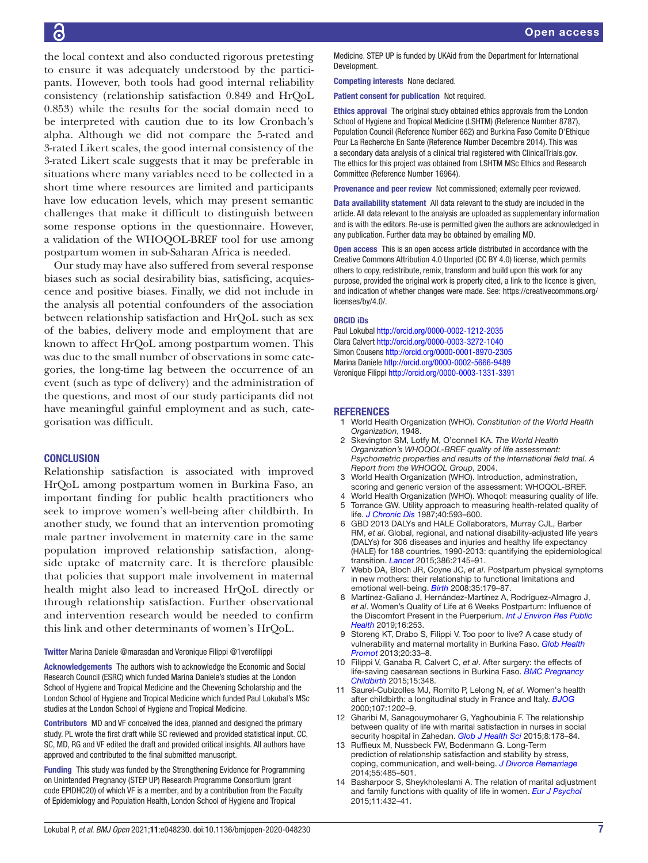the local context and also conducted rigorous pretesting to ensure it was adequately understood by the participants. However, both tools had good internal reliability consistency (relationship satisfaction 0.849 and HrQoL 0.853) while the results for the social domain need to be interpreted with caution due to its low Cronbach's alpha. Although we did not compare the 5-rated and 3-rated Likert scales, the good internal consistency of the 3-rated Likert scale suggests that it may be preferable in situations where many variables need to be collected in a short time where resources are limited and participants have low education levels, which may present semantic challenges that make it difficult to distinguish between some response options in the questionnaire. However, a validation of the WHOQOL-BREF tool for use among postpartum women in sub-Saharan Africa is needed.

Our study may have also suffered from several response biases such as social desirability bias, satisficing, acquiescence and positive biases. Finally, we did not include in the analysis all potential confounders of the association between relationship satisfaction and HrQoL such as sex of the babies, delivery mode and employment that are known to affect HrQoL among postpartum women. This was due to the small number of observations in some categories, the long-time lag between the occurrence of an event (such as type of delivery) and the administration of the questions, and most of our study participants did not have meaningful gainful employment and as such, categorisation was difficult.

# **CONCLUSION**

Relationship satisfaction is associated with improved HrQoL among postpartum women in Burkina Faso, an important finding for public health practitioners who seek to improve women's well-being after childbirth. In another study, we found that an intervention promoting male partner involvement in maternity care in the same population improved relationship satisfaction, alongside uptake of maternity care. It is therefore plausible that policies that support male involvement in maternal health might also lead to increased HrQoL directly or through relationship satisfaction. Further observational and intervention research would be needed to confirm this link and other determinants of women's HrQoL.

Twitter Marina Daniele [@marasdan](https://twitter.com/marasdan) and Veronique Filippi [@1verofilippi](https://twitter.com/1verofilippi)

Acknowledgements The authors wish to acknowledge the Economic and Social Research Council (ESRC) which funded Marina Daniele's studies at the London School of Hygiene and Tropical Medicine and the Chevening Scholarship and the London School of Hygiene and Tropical Medicine which funded Paul Lokubal's MSc studies at the London School of Hygiene and Tropical Medicine.

Contributors MD and VF conceived the idea, planned and designed the primary study. PL wrote the first draft while SC reviewed and provided statistical input. CC, SC, MD, RG and VF edited the draft and provided critical insights. All authors have approved and contributed to the final submitted manuscript.

Funding This study was funded by the Strengthening Evidence for Programming on Unintended Pregnancy (STEP UP) Research Programme Consortium (grant code EPIDHC20) of which VF is a member, and by a contribution from the Faculty of Epidemiology and Population Health, London School of Hygiene and Tropical

Medicine. STEP UP is funded by UKAid from the Department for International Development.

Competing interests None declared.

Patient consent for publication Not required.

Ethics approval The original study obtained ethics approvals from the London School of Hygiene and Tropical Medicine (LSHTM) (Reference Number 8787), Population Council (Reference Number 662) and Burkina Faso Comite D'Ethique Pour La Recherche En Sante (Reference Number Decembre 2014). This was a secondary data analysis of a clinical trial registered with ClinicalTrials.gov. The ethics for this project was obtained from LSHTM MSc Ethics and Research Committee (Reference Number 16964).

Provenance and peer review Not commissioned; externally peer reviewed.

Data availability statement All data relevant to the study are included in the article. All data relevant to the analysis are uploaded as supplementary information and is with the editors. Re-use is permitted given the authors are acknowledged in any publication. Further data may be obtained by emailing MD.

Open access This is an open access article distributed in accordance with the Creative Commons Attribution 4.0 Unported (CC BY 4.0) license, which permits others to copy, redistribute, remix, transform and build upon this work for any purpose, provided the original work is properly cited, a link to the licence is given, and indication of whether changes were made. See: [https://creativecommons.org/](https://creativecommons.org/licenses/by/4.0/) [licenses/by/4.0/](https://creativecommons.org/licenses/by/4.0/).

#### ORCID iDs

Paul Lokubal <http://orcid.org/0000-0002-1212-2035> Clara Calvert <http://orcid.org/0000-0003-3272-1040> Simon Cousens <http://orcid.org/0000-0001-8970-2305> Marina Daniele<http://orcid.org/0000-0002-5666-9489> Veronique Filippi<http://orcid.org/0000-0003-1331-3391>

#### **REFERENCES**

- <span id="page-6-0"></span>1 World Health Organization (WHO). *Constitution of the World Health Organization*, 1948.
- <span id="page-6-1"></span>2 Skevington SM, Lotfy M, O'connell KA. *The World Health Organization's WHOQOL-BREF quality of life assessment: Psychometric properties and results of the international field trial. A Report from the WHOQOL Group*, 2004.
- <span id="page-6-9"></span>3 World Health Organization (WHO). Introduction, adminstration, scoring and generic version of the assessment: WHOQOL-BREF.
- <span id="page-6-3"></span><span id="page-6-2"></span>World Health Organization (WHO). Whoqol: measuring quality of life. 5 Torrance GW. Utility approach to measuring health-related quality of
- <span id="page-6-4"></span>life. *[J Chronic Dis](http://dx.doi.org/10.1016/0021-9681(87)90019-1)* 1987;40:593–600. 6 GBD 2013 DALYs and HALE Collaborators, Murray CJL, Barber
- RM, *et al*. Global, regional, and national disability-adjusted life years (DALYs) for 306 diseases and injuries and healthy life expectancy (HALE) for 188 countries, 1990-2013: quantifying the epidemiological transition. *[Lancet](http://dx.doi.org/10.1016/S0140-6736(15)61340-X)* 2015;386:2145–91.
- <span id="page-6-5"></span>7 Webb DA, Bloch JR, Coyne JC, *et al*. Postpartum physical symptoms in new mothers: their relationship to functional limitations and emotional well-being. *[Birth](http://dx.doi.org/10.1111/j.1523-536X.2008.00238.x)* 2008;35:179–87.
- <span id="page-6-6"></span>Martínez-Galiano J, Hernández-Martínez A, Rodríguez-Almagro J, *et al*. Women's Quality of Life at 6 Weeks Postpartum: Influence of the Discomfort Present in the Puerperium. *[Int J Environ Res Public](http://dx.doi.org/10.3390/ijerph16020253)  [Health](http://dx.doi.org/10.3390/ijerph16020253)* 2019;16:253.
- <span id="page-6-10"></span>9 Storeng KT, Drabo S, Filippi V. Too poor to live? A case study of vulnerability and maternal mortality in Burkina Faso. *[Glob Health](http://dx.doi.org/10.1177/1757975912462420)  [Promot](http://dx.doi.org/10.1177/1757975912462420)* 2013;20:33–8.
- 10 Filippi V, Ganaba R, Calvert C, *et al*. After surgery: the effects of life-saving caesarean sections in Burkina Faso. *[BMC Pregnancy](http://dx.doi.org/10.1186/s12884-015-0778-7)  [Childbirth](http://dx.doi.org/10.1186/s12884-015-0778-7)* 2015;15:348.
- <span id="page-6-7"></span>11 Saurel-Cubizolles MJ, Romito P, Lelong N, *et al*. Women's health after childbirth: a longitudinal study in France and Italy. *[BJOG](http://dx.doi.org/10.1111/j.1471-0528.2000.tb11608.x)* 2000;107:1202–9.
- <span id="page-6-8"></span>12 Gharibi M, Sanagouymoharer G, Yaghoubinia F. The relationship between quality of life with marital satisfaction in nurses in social security hospital in Zahedan. *[Glob J Health Sci](http://dx.doi.org/10.5539/gjhs.v8n2p178)* 2015;8:178–84.
- 13 Ruffieux M, Nussbeck FW, Bodenmann G. Long-Term prediction of relationship satisfaction and stability by stress, coping, communication, and well-being. *[J Divorce Remarriage](http://dx.doi.org/10.1080/10502556.2014.931767)* 2014;55:485–501.
- 14 Basharpoor S, Sheykholeslami A. The relation of marital adjustment and family functions with quality of life in women. *[Eur J Psychol](http://dx.doi.org/10.5964/ejop.v11i3.859)* 2015;11:432–41.